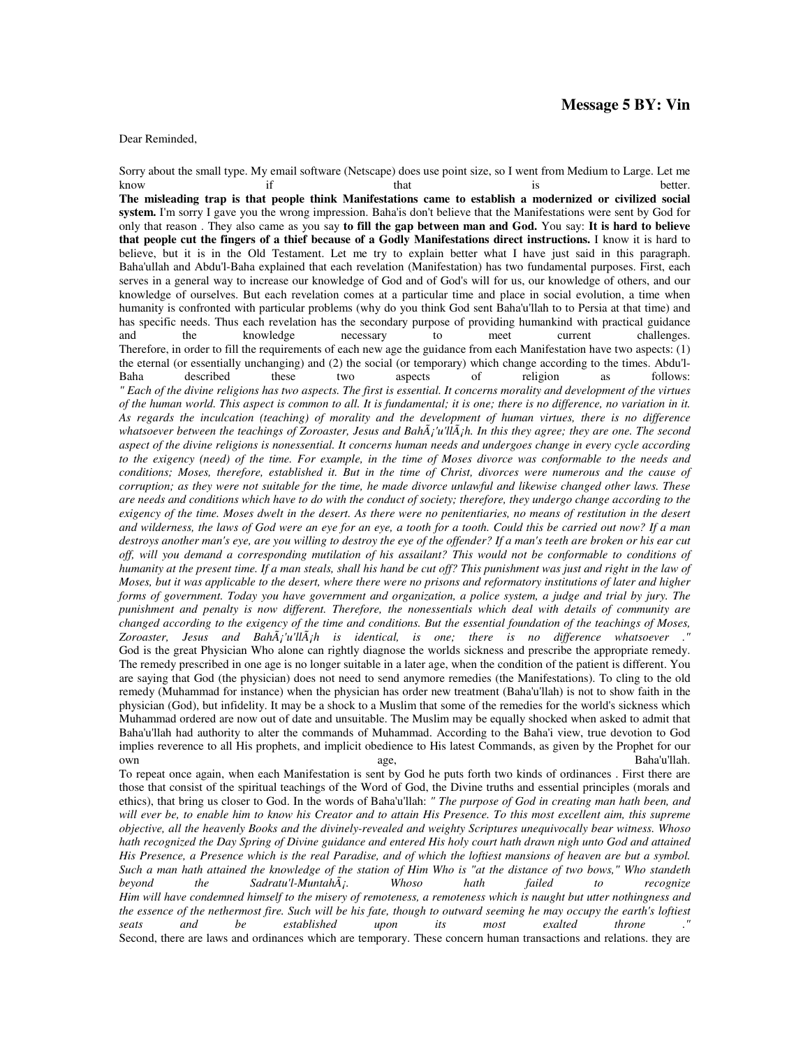## Dear Reminded,

Sorry about the small type. My email software (Netscape) does use point size, so I went from Medium to Large. Let me know if that that is better.

**The misleading trap is that people think Manifestations came to establish a modernized or civilized social system.** I'm sorry I gave you the wrong impression. Baha'is don't believe that the Manifestations were sent by God for only that reason . They also came as you say **to fill the gap between man and God.** You say: **It is hard to believe that people cut the fingers of a thief because of a Godly Manifestations direct instructions.** I know it is hard to believe, but it is in the Old Testament. Let me try to explain better what I have just said in this paragraph. Baha'ullah and Abdu'l-Baha explained that each revelation (Manifestation) has two fundamental purposes. First, each serves in a general way to increase our knowledge of God and of God's will for us, our knowledge of others, and our knowledge of ourselves. But each revelation comes at a particular time and place in social evolution, a time when humanity is confronted with particular problems (why do you think God sent Baha'u'llah to to Persia at that time) and has specific needs. Thus each revelation has the secondary purpose of providing humankind with practical guidance<br>and the knowledge necessary to meet current challenges. and the knowledge necessary to meet current challenges. Therefore, in order to fill the requirements of each new age the guidance from each Manifestation have two aspects: (1) the eternal (or essentially unchanging) and (2) the social (or temporary) which change according to the times. Abdu'l-Baha described these two aspects of religion as follows: *" Each of the divine religions has two aspects. The first is essential. It concerns morality and development of the virtues of the human world. This aspect is common to all. It is fundamental; it is one; there is no difference, no variation in it. As regards the inculcation (teaching) of morality and the development of human virtues, there is no difference whatsoever between the teachings of Zoroaster, Jesus and Bahá'u'lláh. In this they agree; they are one. The second aspect of the divine religions is nonessential. It concerns human needs and undergoes change in every cycle according*  to the exigency (need) of the time. For example, in the time of Moses divorce was conformable to the needs and *conditions; Moses, therefore, established it. But in the time of Christ, divorces were numerous and the cause of corruption; as they were not suitable for the time, he made divorce unlawful and likewise changed other laws. These are needs and conditions which have to do with the conduct of society; therefore, they undergo change according to the exigency of the time. Moses dwelt in the desert. As there were no penitentiaries, no means of restitution in the desert and wilderness, the laws of God were an eye for an eye, a tooth for a tooth. Could this be carried out now? If a man destroys another man's eye, are you willing to destroy the eye of the offender? If a man's teeth are broken or his ear cut off, will you demand a corresponding mutilation of his assailant? This would not be conformable to conditions of humanity at the present time. If a man steals, shall his hand be cut off? This punishment was just and right in the law of Moses, but it was applicable to the desert, where there were no prisons and reformatory institutions of later and higher forms of government. Today you have government and organization, a police system, a judge and trial by jury. The punishment and penalty is now different. Therefore, the nonessentials which deal with details of community are changed according to the exigency of the time and conditions. But the essential foundation of the teachings of Moses, Zoroaster, Jesus and Bahá'u'lláh is identical, is one; there is no difference whatsoever ."*  God is the great Physician Who alone can rightly diagnose the worlds sickness and prescribe the appropriate remedy. The remedy prescribed in one age is no longer suitable in a later age, when the condition of the patient is different. You are saying that God (the physician) does not need to send anymore remedies (the Manifestations). To cling to the old remedy (Muhammad for instance) when the physician has order new treatment (Baha'u'llah) is not to show faith in the physician (God), but infidelity. It may be a shock to a Muslim that some of the remedies for the world's sickness which Muhammad ordered are now out of date and unsuitable. The Muslim may be equally shocked when asked to admit that Baha'u'llah had authority to alter the commands of Muhammad. According to the Baha'i view, true devotion to God implies reverence to all His prophets, and implicit obedience to His latest Commands, as given by the Prophet for our own age, Baha'u'llah.

To repeat once again, when each Manifestation is sent by God he puts forth two kinds of ordinances . First there are those that consist of the spiritual teachings of the Word of God, the Divine truths and essential principles (morals and ethics), that bring us closer to God. In the words of Baha'u'llah: *" The purpose of God in creating man hath been, and will ever be, to enable him to know his Creator and to attain His Presence. To this most excellent aim, this supreme objective, all the heavenly Books and the divinely-revealed and weighty Scriptures unequivocally bear witness. Whoso hath recognized the Day Spring of Divine guidance and entered His holy court hath drawn nigh unto God and attained His Presence, a Presence which is the real Paradise, and of which the loftiest mansions of heaven are but a symbol. Such a man hath attained the knowledge of the station of Him Who is "at the distance of two bows," Who standeth beyond the Sadratu'l-Muntahá. Whoso hath failed to recognize Him will have condemned himself to the misery of remoteness, a remoteness which is naught but utter nothingness and the essence of the nethermost fire. Such will be his fate, though to outward seeming he may occupy the earth's loftiest seats* and *be* established *upon its most exalted throne .*" *seats and be established upon its most exalted throne ."*  Second, there are laws and ordinances which are temporary. These concern human transactions and relations. they are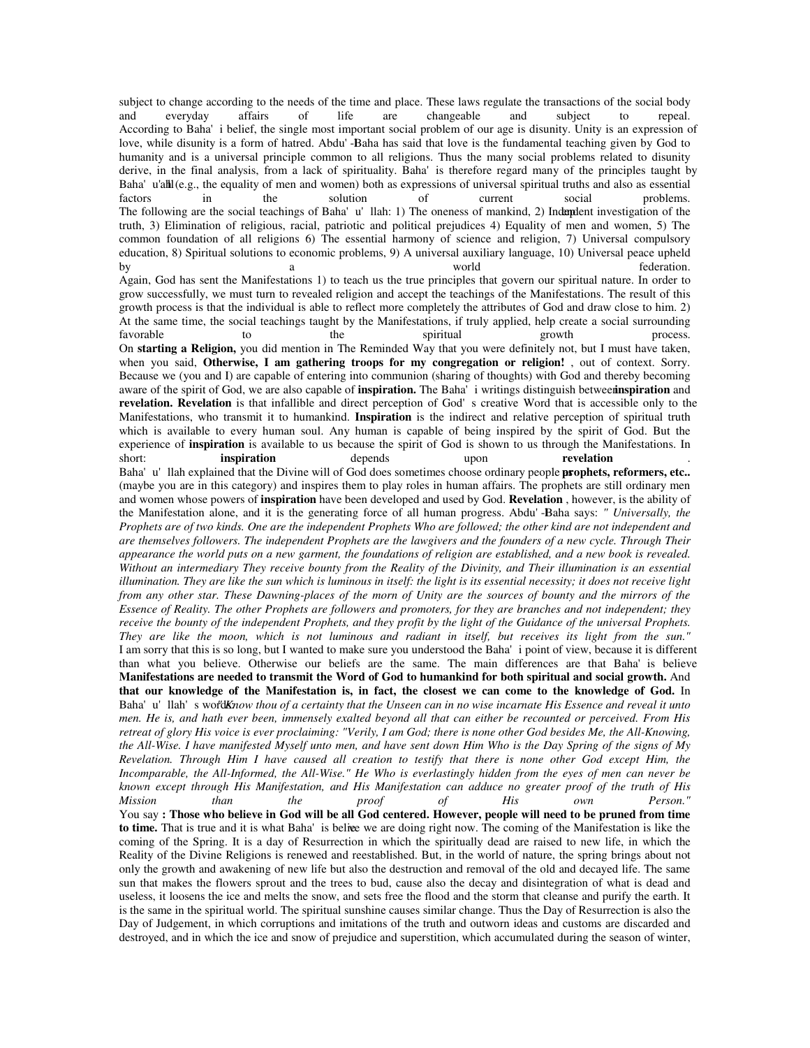subject to change according to the needs of the time and place. These laws regulate the transactions of the social body and everyday affairs of life are changeable and subject to repeal. According to Baha'i belief, the single most important social problem of our age is disunity. Unity is an expression of love, while disunity is a form of hatred. Abdu'-Baha has said that love is the fundamental teaching given by God to humanity and is a universal principle common to all religions. Thus the many social problems related to disunity derive, in the final analysis, from a lack of spirituality. Baha'is therefore regard many of the principles taught by Baha'u'ah l(e.g., the equality of men and women) both as expressions of universal spiritual truths and also as essential factors in the solution of current social problems. The following are the social teachings of Baha'u'llah: 1) The oneness of mankind, 2) Indendent investigation of the truth, 3) Elimination of religious, racial, patriotic and political prejudices 4) Equality of men and women, 5) The common foundation of all religions 6) The essential harmony of science and religion, 7) Universal compulsory education, 8) Spiritual solutions to economic problems, 9) A universal auxiliary language, 10) Universal peace upheld by a a world tederation. Again, God has sent the Manifestations 1) to teach us the true principles that govern our spiritual nature. In order to grow successfully, we must turn to revealed religion and accept the teachings of the Manifestations. The result of this growth process is that the individual is able to reflect more completely the attributes of God and draw close to him. 2) At the same time, the social teachings taught by the Manifestations, if truly applied, help create a social surrounding favorable to the spiritual growth process. On **starting a Religion,** you did mention in The Reminded Way that you were definitely not, but I must have taken, when you said, **Otherwise, I am gathering troops for my congregation or religion!** , out of context. Sorry. Because we (you and I) are capable of entering into communion (sharing of thoughts) with God and thereby becoming aware of the spirit of God, we are also capable of **inspiration.** The Baha'i writings distinguish between **inspiration** and **revelation. Revelation** is that infallible and direct perception of God's creative Word that is accessible only to the Manifestations, who transmit it to humankind. **Inspiration** is the indirect and relative perception of spiritual truth which is available to every human soul. Any human is capable of being inspired by the spirit of God. But the experience of **inspiration** is available to us because the spirit of God is shown to us through the Manifestations. In short:<br> **inspiration** depends upon **revelation** short: **inspiration** depends upon **revelation** . Baha'u'llah explained that the Divine will of God does sometimes choose ordinary people **prophets, reformers, etc..** (maybe you are in this category) and inspires them to play roles in human affairs. The prophets are still ordinary men and women whose powers of **inspiration** have been developed and used by God. **Revelation** , however, is the ability of the Manifestation alone, and it is the generating force of all human progress. Abdu'-Baha says: *" Universally, the Prophets are of two kinds. One are the independent Prophets Who are followed; the other kind are not independent and are themselves followers. The independent Prophets are the lawgivers and the founders of a new cycle. Through Their appearance the world puts on a new garment, the foundations of religion are established, and a new book is revealed. Without an intermediary They receive bounty from the Reality of the Divinity, and Their illumination is an essential illumination. They are like the sun which is luminous in itself: the light is its essential necessity; it does not receive light from any other star. These Dawning-places of the morn of Unity are the sources of bounty and the mirrors of the Essence of Reality. The other Prophets are followers and promoters, for they are branches and not independent; they receive the bounty of the independent Prophets, and they profit by the light of the Guidance of the universal Prophets. They are like the moon, which is not luminous and radiant in itself, but receives its light from the sun."*  I am sorry that this is so long, but I wanted to make sure you understood the Baha'i point of view, because it is different than what you believe. Otherwise our beliefs are the same. The main differences are that Baha'is believe **Manifestations are needed to transmit the Word of God to humankind for both spiritual and social growth.** And **that our knowledge of the Manifestation is, in fact, the closest we can come to the knowledge of God.** In Baha'u'llah's word *Know thou of a certainty that the Unseen can in no wise incarnate His Essence and reveal it unto men. He is, and hath ever been, immensely exalted beyond all that can either be recounted or perceived. From His retreat of glory His voice is ever proclaiming: "Verily, I am God; there is none other God besides Me, the All-Knowing, the All-Wise. I have manifested Myself unto men, and have sent down Him Who is the Day Spring of the signs of My Revelation. Through Him I have caused all creation to testify that there is none other God except Him, the Incomparable, the All-Informed, the All-Wise." He Who is everlastingly hidden from the eyes of men can never be known except through His Manifestation, and His Manifestation can adduce no greater proof of the truth of His Mission than the proof of His own Person."*  You say **: Those who believe in God will be all God centered. However, people will need to be pruned from time to time.** That is true and it is what Baha'is belivee we are doing right now. The coming of the Manifestation is like the coming of the Spring. It is a day of Resurrection in which the spiritually dead are raised to new life, in which the Reality of the Divine Religions is renewed and reestablished. But, in the world of nature, the spring brings about not only the growth and awakening of new life but also the destruction and removal of the old and decayed life. The same sun that makes the flowers sprout and the trees to bud, cause also the decay and disintegration of what is dead and useless, it loosens the ice and melts the snow, and sets free the flood and the storm that cleanse and purify the earth. It is the same in the spiritual world. The spiritual sunshine causes similar change. Thus the Day of Resurrection is also the Day of Judgement, in which corruptions and imitations of the truth and outworn ideas and customs are discarded and destroyed, and in which the ice and snow of prejudice and superstition, which accumulated during the season of winter,